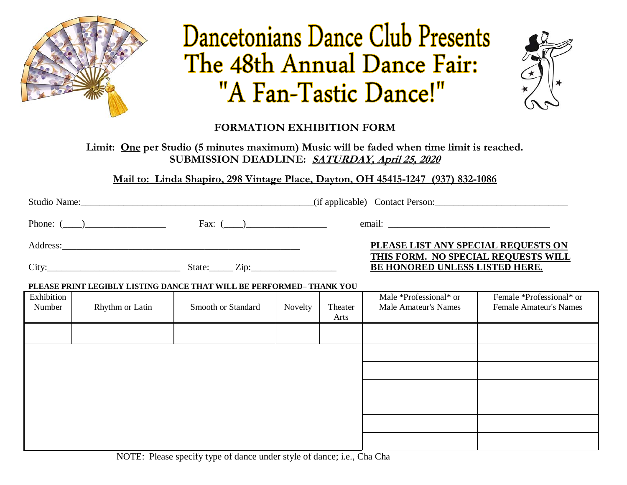

# Dancetonians Dance Club Presents The 48th Annual Dance Fair: "A Fan-Tastic Dance!"



### **FORMATION EXHIBITION FORM**

**Limit: One per Studio (5 minutes maximum) Music will be faded when time limit is reached. SUBMISSION DEADLINE: SATURDAY, April 25, 2020**

**Mail to: Linda Shapiro, 298 Vintage Place, Dayton, OH 45415-1247 (937) 832-1086**

| Studio Name:    |               | (if applicable) Contact Person:                                       |  |  |
|-----------------|---------------|-----------------------------------------------------------------------|--|--|
| Phone: $(\_\_)$ | Fax: $(\_\_)$ |                                                                       |  |  |
| Address:        |               | PLEASE LIST ANY SPECIAL REQUESTS ON                                   |  |  |
| City:           | State:        | THIS FORM. NO SPECIAL REQUESTS WILL<br>BE HONORED UNLESS LISTED HERE. |  |  |

#### **PLEASE PRINT LEGIBLY LISTING DANCE THAT WILL BE PERFORMED– THANK YOU**

| Exhibition<br>Number | Rhythm or Latin | Smooth or Standard | Novelty | Theater<br>Arts | Male *Professional* or<br><b>Male Amateur's Names</b> | Female *Professional* or<br><b>Female Amateur's Names</b> |
|----------------------|-----------------|--------------------|---------|-----------------|-------------------------------------------------------|-----------------------------------------------------------|
|                      |                 |                    |         |                 |                                                       |                                                           |
|                      |                 |                    |         |                 |                                                       |                                                           |
|                      |                 |                    |         |                 |                                                       |                                                           |
|                      |                 |                    |         |                 |                                                       |                                                           |
|                      |                 |                    |         |                 |                                                       |                                                           |
|                      |                 |                    |         |                 |                                                       |                                                           |
|                      |                 |                    |         |                 |                                                       |                                                           |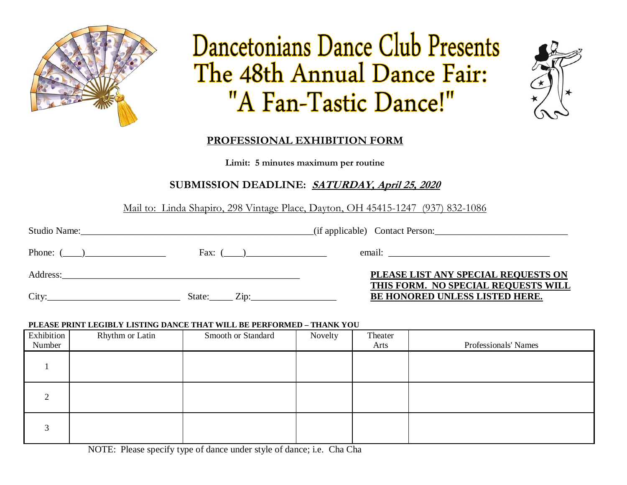

## . . The 48th Annual Dance Fair: "A Fan-Tastic Dance!"



### **PROFESSIONAL EXHIBITION FORM**

**Limit: 5 minutes maximum per routine** 

### **SUBMISSION DEADLINE: SATURDAY, April 25, 2020**

Mail to: Linda Shapiro, 298 Vintage Place, Dayton, OH 45415-1247 (937) 832-1086

| Phone: $(\_\_)$ | Fax: $(\_\_)$               |                                                                              |  |  |
|-----------------|-----------------------------|------------------------------------------------------------------------------|--|--|
| Address:        |                             | PLEASE LIST ANY SPECIAL REQUESTS ON                                          |  |  |
| City:           | State:<br>$\chi$ ip: $\chi$ | THIS FORM. NO SPECIAL REQUESTS WILL<br><b>BE HONORED UNLESS LISTED HERE.</b> |  |  |

#### **PLEASE PRINT LEGIBLY LISTING DANCE THAT WILL BE PERFORMED – THANK YOU**

| Exhibition<br>Number | Rhythm or Latin | Smooth or Standard | Novelty | Theater<br>Arts | Professionals' Names |
|----------------------|-----------------|--------------------|---------|-----------------|----------------------|
|                      |                 |                    |         |                 |                      |
|                      |                 |                    |         |                 |                      |
|                      |                 |                    |         |                 |                      |

NOTE: Please specify type of dance under style of dance; i.e. Cha Cha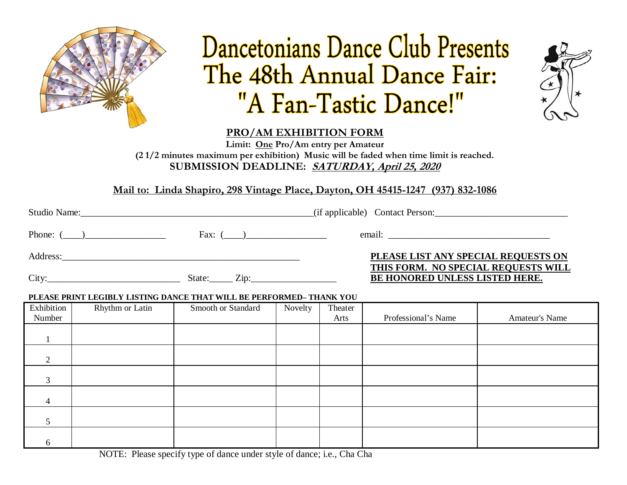

## Dancetonians Dance Club Presents The 48th Annual Dance Fair: "A Fan-Tastic Dance!"



**PRO/AM EXHIBITION FORM**

**Limit: One Pro/Am entry per Amateur (2 1/2 minutes maximum per exhibition) Music will be faded when time limit is reached. SUBMISSION DEADLINE: SATURDAY, April 25, 2020**

**Mail to: Linda Shapiro, 298 Vintage Place, Dayton, OH 45415-1247 (937) 832-1086**

| Phone: $(\_\_)$ | Fax: $(\_\_)$ |                                                                            |  |
|-----------------|---------------|----------------------------------------------------------------------------|--|
| Address:        |               | PLEASE LIST ANY SPECIAL REQUESTS ON<br>THIS FORM. NO SPECIAL REQUESTS WILL |  |
| City:           | State: Zip:   | BE HONORED UNLESS LISTED HERE.                                             |  |

#### **PLEASE PRINT LEGIBLY LISTING DANCE THAT WILL BE PERFORMED– THANK YOU**

| Exhibition<br>Number | Rhythm or Latin | Smooth or Standard | Novelty | Theater<br>Arts | Professional's Name | Amateur's Name |
|----------------------|-----------------|--------------------|---------|-----------------|---------------------|----------------|
|                      |                 |                    |         |                 |                     |                |
| 2                    |                 |                    |         |                 |                     |                |
| 3                    |                 |                    |         |                 |                     |                |
| 4                    |                 |                    |         |                 |                     |                |
|                      |                 |                    |         |                 |                     |                |
| 6                    |                 |                    |         |                 |                     |                |

NOTE: Please specify type of dance under style of dance; i.e., Cha Cha